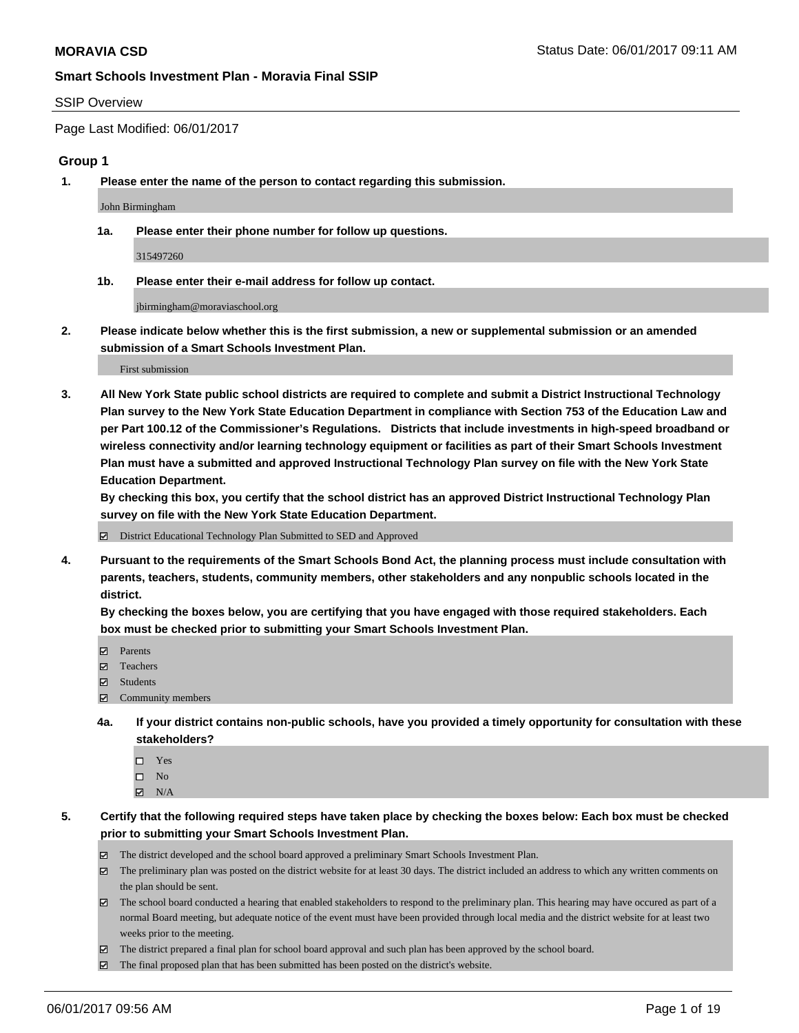#### SSIP Overview

Page Last Modified: 06/01/2017

# **Group 1**

**1. Please enter the name of the person to contact regarding this submission.**

John Birmingham

**1a. Please enter their phone number for follow up questions.**

315497260

**1b. Please enter their e-mail address for follow up contact.**

jbirmingham@moraviaschool.org

**2. Please indicate below whether this is the first submission, a new or supplemental submission or an amended submission of a Smart Schools Investment Plan.**

First submission

**3. All New York State public school districts are required to complete and submit a District Instructional Technology Plan survey to the New York State Education Department in compliance with Section 753 of the Education Law and per Part 100.12 of the Commissioner's Regulations. Districts that include investments in high-speed broadband or wireless connectivity and/or learning technology equipment or facilities as part of their Smart Schools Investment Plan must have a submitted and approved Instructional Technology Plan survey on file with the New York State Education Department.** 

**By checking this box, you certify that the school district has an approved District Instructional Technology Plan survey on file with the New York State Education Department.**

District Educational Technology Plan Submitted to SED and Approved

**4. Pursuant to the requirements of the Smart Schools Bond Act, the planning process must include consultation with parents, teachers, students, community members, other stakeholders and any nonpublic schools located in the district.** 

**By checking the boxes below, you are certifying that you have engaged with those required stakeholders. Each box must be checked prior to submitting your Smart Schools Investment Plan.**

- **マ** Parents
- □ Teachers
- Students
- $\Xi$  Community members
- **4a. If your district contains non-public schools, have you provided a timely opportunity for consultation with these stakeholders?**
	- Yes
	- $\hfill \square$  No
	- $\boxtimes$  N/A
- **5. Certify that the following required steps have taken place by checking the boxes below: Each box must be checked prior to submitting your Smart Schools Investment Plan.**
	- The district developed and the school board approved a preliminary Smart Schools Investment Plan.
	- $\boxtimes$  The preliminary plan was posted on the district website for at least 30 days. The district included an address to which any written comments on the plan should be sent.
	- $\boxtimes$  The school board conducted a hearing that enabled stakeholders to respond to the preliminary plan. This hearing may have occured as part of a normal Board meeting, but adequate notice of the event must have been provided through local media and the district website for at least two weeks prior to the meeting.
	- The district prepared a final plan for school board approval and such plan has been approved by the school board.
	- $\boxtimes$  The final proposed plan that has been submitted has been posted on the district's website.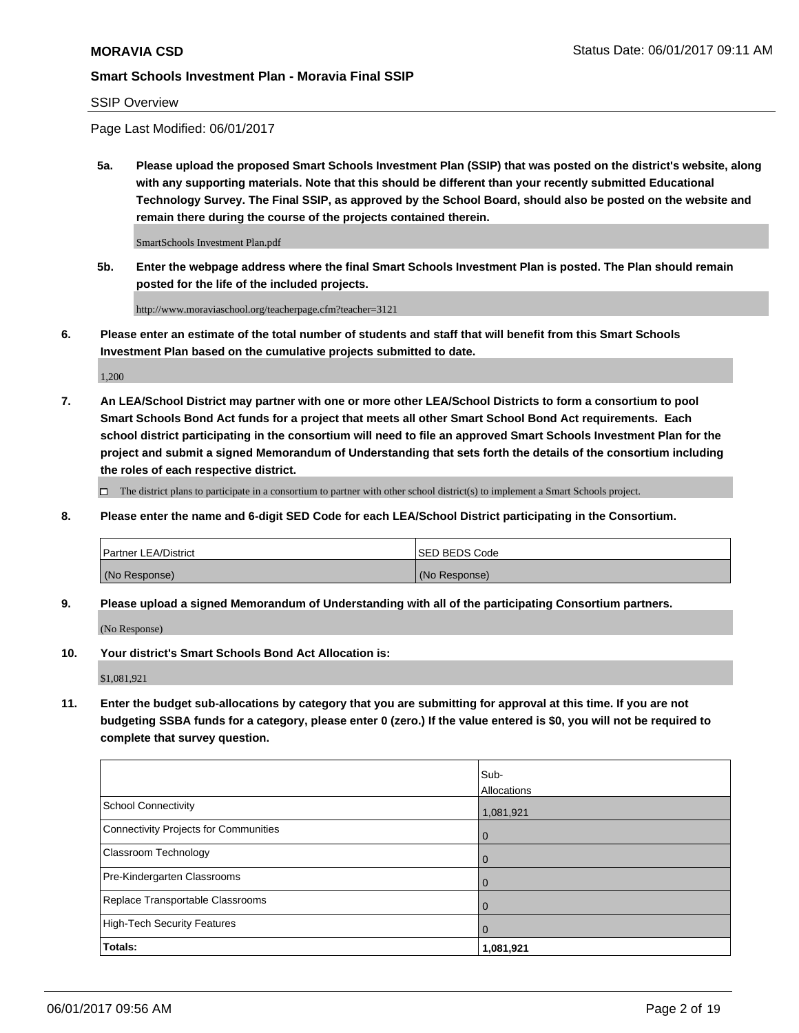# SSIP Overview

Page Last Modified: 06/01/2017

**5a. Please upload the proposed Smart Schools Investment Plan (SSIP) that was posted on the district's website, along with any supporting materials. Note that this should be different than your recently submitted Educational Technology Survey. The Final SSIP, as approved by the School Board, should also be posted on the website and remain there during the course of the projects contained therein.**

SmartSchools Investment Plan.pdf

**5b. Enter the webpage address where the final Smart Schools Investment Plan is posted. The Plan should remain posted for the life of the included projects.**

http://www.moraviaschool.org/teacherpage.cfm?teacher=3121

**6. Please enter an estimate of the total number of students and staff that will benefit from this Smart Schools Investment Plan based on the cumulative projects submitted to date.**

1,200

**7. An LEA/School District may partner with one or more other LEA/School Districts to form a consortium to pool Smart Schools Bond Act funds for a project that meets all other Smart School Bond Act requirements. Each school district participating in the consortium will need to file an approved Smart Schools Investment Plan for the project and submit a signed Memorandum of Understanding that sets forth the details of the consortium including the roles of each respective district.**

 $\Box$  The district plans to participate in a consortium to partner with other school district(s) to implement a Smart Schools project.

**8. Please enter the name and 6-digit SED Code for each LEA/School District participating in the Consortium.**

| <b>Partner LEA/District</b> | <b>ISED BEDS Code</b> |
|-----------------------------|-----------------------|
| (No Response)               | (No Response)         |

**9. Please upload a signed Memorandum of Understanding with all of the participating Consortium partners.**

(No Response)

**10. Your district's Smart Schools Bond Act Allocation is:**

\$1,081,921

**11. Enter the budget sub-allocations by category that you are submitting for approval at this time. If you are not budgeting SSBA funds for a category, please enter 0 (zero.) If the value entered is \$0, you will not be required to complete that survey question.**

|                                              | Sub-        |
|----------------------------------------------|-------------|
|                                              | Allocations |
| <b>School Connectivity</b>                   | 1,081,921   |
| <b>Connectivity Projects for Communities</b> | 0           |
| Classroom Technology                         | 0           |
| Pre-Kindergarten Classrooms                  | 0           |
| Replace Transportable Classrooms             | 0           |
| <b>High-Tech Security Features</b>           | 0           |
| Totals:                                      | 1,081,921   |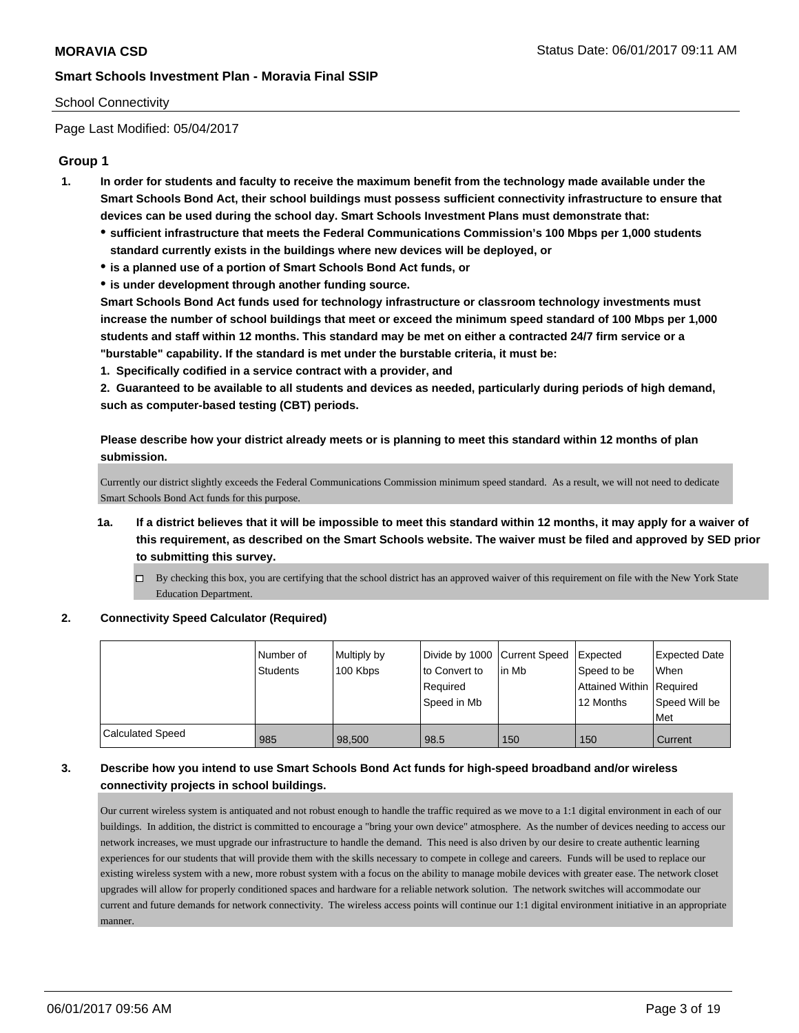### School Connectivity

Page Last Modified: 05/04/2017

# **Group 1**

- **1. In order for students and faculty to receive the maximum benefit from the technology made available under the Smart Schools Bond Act, their school buildings must possess sufficient connectivity infrastructure to ensure that devices can be used during the school day. Smart Schools Investment Plans must demonstrate that:**
	- **sufficient infrastructure that meets the Federal Communications Commission's 100 Mbps per 1,000 students standard currently exists in the buildings where new devices will be deployed, or**
	- **is a planned use of a portion of Smart Schools Bond Act funds, or**
	- **is under development through another funding source.**

**Smart Schools Bond Act funds used for technology infrastructure or classroom technology investments must increase the number of school buildings that meet or exceed the minimum speed standard of 100 Mbps per 1,000 students and staff within 12 months. This standard may be met on either a contracted 24/7 firm service or a "burstable" capability. If the standard is met under the burstable criteria, it must be:**

**1. Specifically codified in a service contract with a provider, and**

**2. Guaranteed to be available to all students and devices as needed, particularly during periods of high demand, such as computer-based testing (CBT) periods.**

**Please describe how your district already meets or is planning to meet this standard within 12 months of plan submission.**

Currently our district slightly exceeds the Federal Communications Commission minimum speed standard. As a result, we will not need to dedicate Smart Schools Bond Act funds for this purpose.

- **1a. If a district believes that it will be impossible to meet this standard within 12 months, it may apply for a waiver of this requirement, as described on the Smart Schools website. The waiver must be filed and approved by SED prior to submitting this survey.**
	- $\Box$  By checking this box, you are certifying that the school district has an approved waiver of this requirement on file with the New York State Education Department.

### **2. Connectivity Speed Calculator (Required)**

|                         | Number of<br><b>Students</b> | Multiply by<br>100 Kbps | Divide by 1000 Current Speed<br>lto Convert to<br>Reauired<br>Speed in Mb | l in Mb | Expected<br>Speed to be<br>Attained Within Required<br>12 Months | <b>Expected Date</b><br><b>When</b><br>Speed Will be<br>Met |
|-------------------------|------------------------------|-------------------------|---------------------------------------------------------------------------|---------|------------------------------------------------------------------|-------------------------------------------------------------|
| <b>Calculated Speed</b> | 985                          | 98,500                  | 98.5                                                                      | 150     | 150                                                              | Current                                                     |

# **3. Describe how you intend to use Smart Schools Bond Act funds for high-speed broadband and/or wireless connectivity projects in school buildings.**

Our current wireless system is antiquated and not robust enough to handle the traffic required as we move to a 1:1 digital environment in each of our buildings. In addition, the district is committed to encourage a "bring your own device" atmosphere. As the number of devices needing to access our network increases, we must upgrade our infrastructure to handle the demand. This need is also driven by our desire to create authentic learning experiences for our students that will provide them with the skills necessary to compete in college and careers. Funds will be used to replace our existing wireless system with a new, more robust system with a focus on the ability to manage mobile devices with greater ease. The network closet upgrades will allow for properly conditioned spaces and hardware for a reliable network solution. The network switches will accommodate our current and future demands for network connectivity. The wireless access points will continue our 1:1 digital environment initiative in an appropriate manner.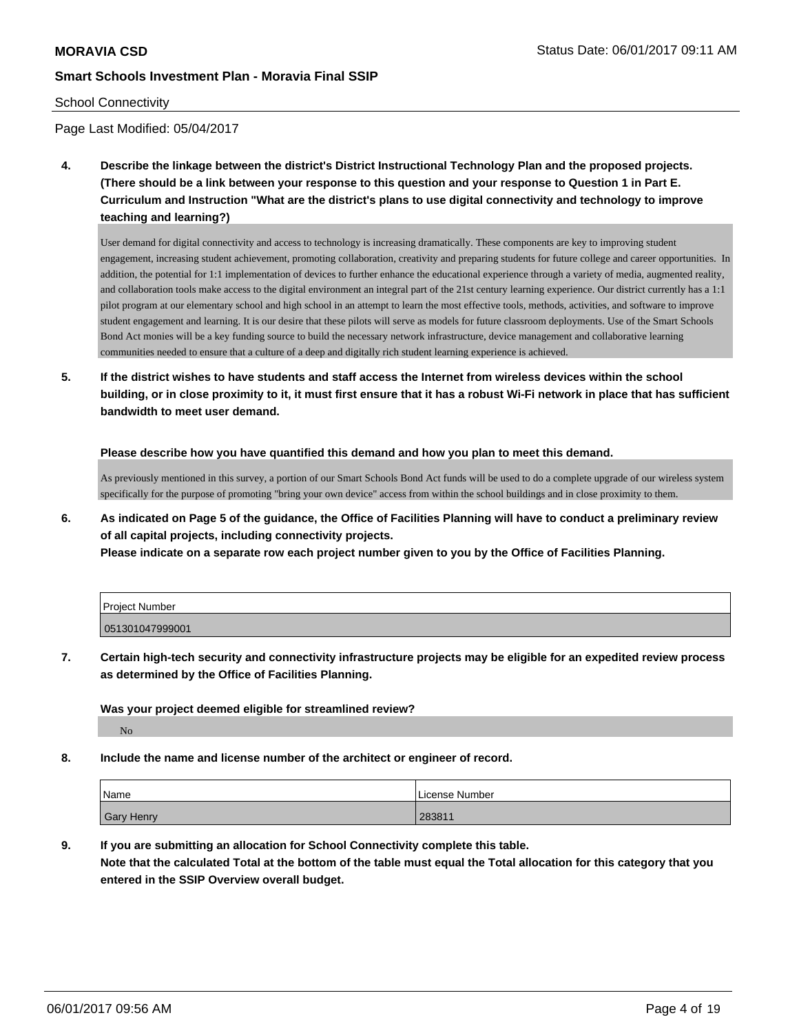### School Connectivity

Page Last Modified: 05/04/2017

**4. Describe the linkage between the district's District Instructional Technology Plan and the proposed projects. (There should be a link between your response to this question and your response to Question 1 in Part E. Curriculum and Instruction "What are the district's plans to use digital connectivity and technology to improve teaching and learning?)**

User demand for digital connectivity and access to technology is increasing dramatically. These components are key to improving student engagement, increasing student achievement, promoting collaboration, creativity and preparing students for future college and career opportunities. In addition, the potential for 1:1 implementation of devices to further enhance the educational experience through a variety of media, augmented reality, and collaboration tools make access to the digital environment an integral part of the 21st century learning experience. Our district currently has a 1:1 pilot program at our elementary school and high school in an attempt to learn the most effective tools, methods, activities, and software to improve student engagement and learning. It is our desire that these pilots will serve as models for future classroom deployments. Use of the Smart Schools Bond Act monies will be a key funding source to build the necessary network infrastructure, device management and collaborative learning communities needed to ensure that a culture of a deep and digitally rich student learning experience is achieved.

**5. If the district wishes to have students and staff access the Internet from wireless devices within the school building, or in close proximity to it, it must first ensure that it has a robust Wi-Fi network in place that has sufficient bandwidth to meet user demand.**

**Please describe how you have quantified this demand and how you plan to meet this demand.**

As previously mentioned in this survey, a portion of our Smart Schools Bond Act funds will be used to do a complete upgrade of our wireless system specifically for the purpose of promoting "bring your own device" access from within the school buildings and in close proximity to them.

**6. As indicated on Page 5 of the guidance, the Office of Facilities Planning will have to conduct a preliminary review of all capital projects, including connectivity projects.**

**Please indicate on a separate row each project number given to you by the Office of Facilities Planning.**

| <b>Project Number</b> |  |
|-----------------------|--|
| 051301047999001       |  |

**7. Certain high-tech security and connectivity infrastructure projects may be eligible for an expedited review process as determined by the Office of Facilities Planning.**

**Was your project deemed eligible for streamlined review?**

No

**8. Include the name and license number of the architect or engineer of record.**

| Name              | License Number |
|-------------------|----------------|
| <b>Gary Henry</b> | 283811         |

**9. If you are submitting an allocation for School Connectivity complete this table. Note that the calculated Total at the bottom of the table must equal the Total allocation for this category that you entered in the SSIP Overview overall budget.**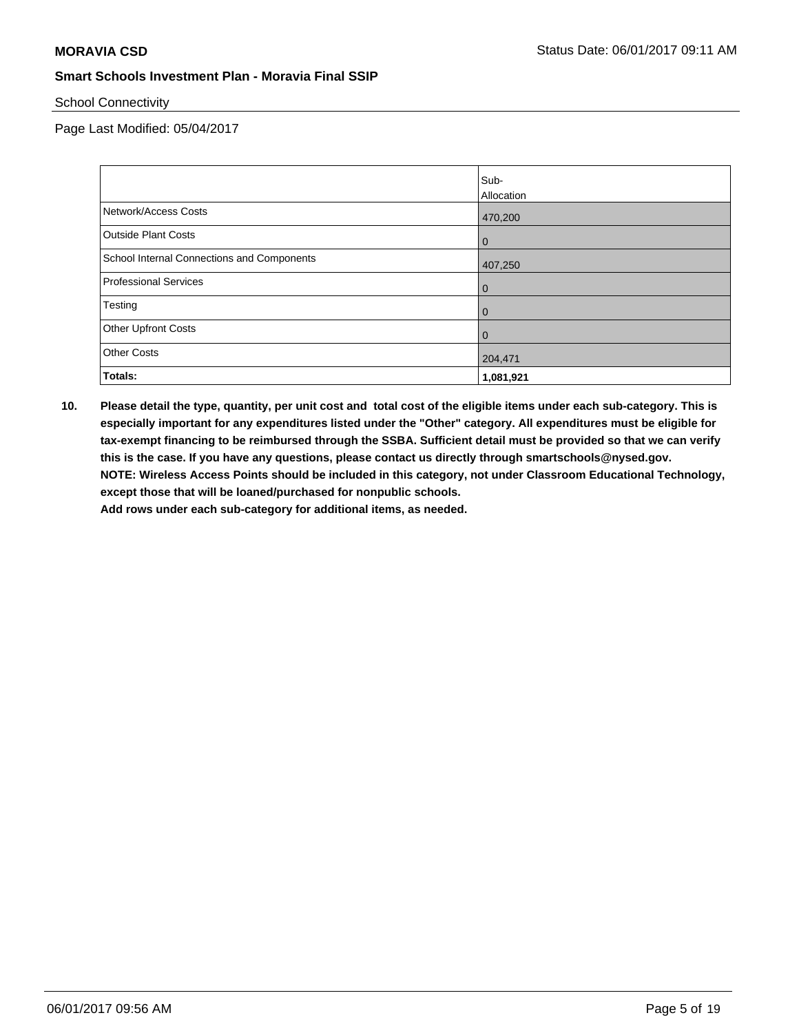School Connectivity

Page Last Modified: 05/04/2017

|                                            | Sub-           |
|--------------------------------------------|----------------|
|                                            | Allocation     |
| Network/Access Costs                       | 470,200        |
| <b>Outside Plant Costs</b>                 | $\overline{0}$ |
| School Internal Connections and Components | 407,250        |
| <b>Professional Services</b>               | $\overline{0}$ |
| Testing                                    | $\overline{0}$ |
| <b>Other Upfront Costs</b>                 | $\overline{0}$ |
| <b>Other Costs</b>                         | 204,471        |
| <b>Totals:</b>                             | 1,081,921      |

**10. Please detail the type, quantity, per unit cost and total cost of the eligible items under each sub-category. This is especially important for any expenditures listed under the "Other" category. All expenditures must be eligible for tax-exempt financing to be reimbursed through the SSBA. Sufficient detail must be provided so that we can verify this is the case. If you have any questions, please contact us directly through smartschools@nysed.gov. NOTE: Wireless Access Points should be included in this category, not under Classroom Educational Technology, except those that will be loaned/purchased for nonpublic schools.**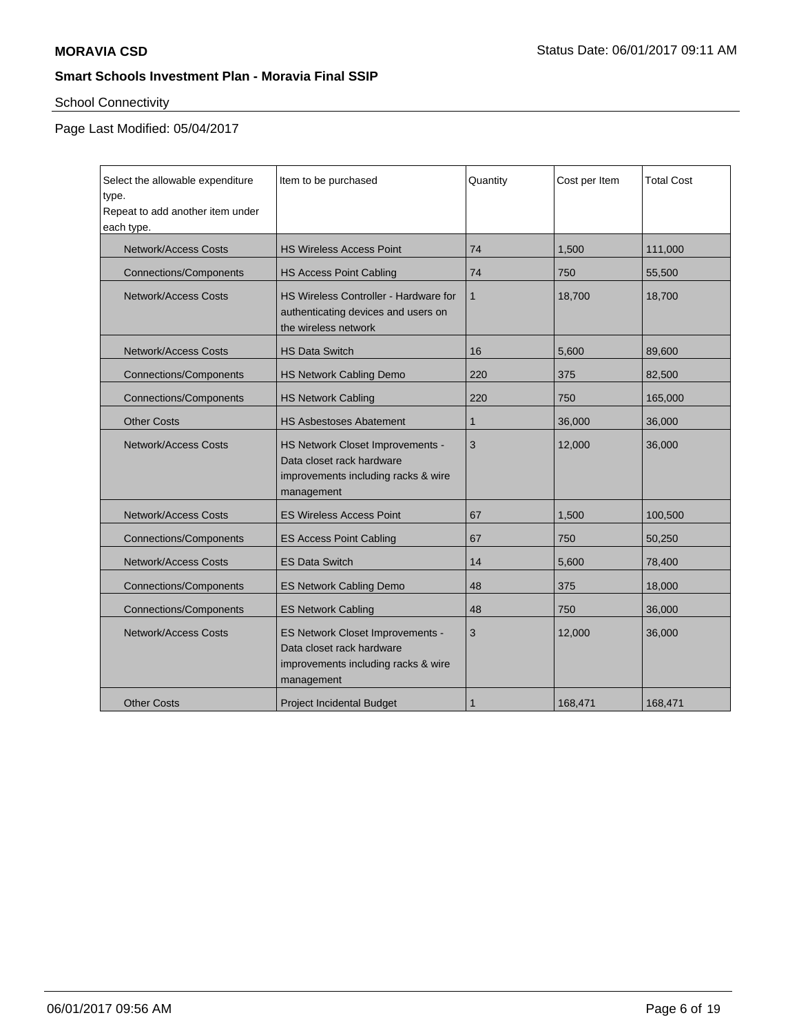# School Connectivity

Page Last Modified: 05/04/2017

| Select the allowable expenditure<br>type.<br>Repeat to add another item under<br>each type. | Item to be purchased                                                                                               | Quantity     | Cost per Item | <b>Total Cost</b> |
|---------------------------------------------------------------------------------------------|--------------------------------------------------------------------------------------------------------------------|--------------|---------------|-------------------|
| <b>Network/Access Costs</b>                                                                 | <b>HS Wireless Access Point</b>                                                                                    | 74           | 1,500         | 111,000           |
| <b>Connections/Components</b>                                                               | <b>HS Access Point Cabling</b>                                                                                     | 74           | 750           | 55,500            |
| <b>Network/Access Costs</b>                                                                 | HS Wireless Controller - Hardware for<br>authenticating devices and users on<br>the wireless network               | $\mathbf{1}$ | 18,700        | 18,700            |
| <b>Network/Access Costs</b>                                                                 | <b>HS Data Switch</b>                                                                                              | 16           | 5,600         | 89,600            |
| <b>Connections/Components</b>                                                               | HS Network Cabling Demo                                                                                            | 220          | 375           | 82,500            |
| <b>Connections/Components</b>                                                               | <b>HS Network Cabling</b>                                                                                          | 220          | 750           | 165,000           |
| <b>Other Costs</b>                                                                          | <b>HS Asbestoses Abatement</b>                                                                                     | $\mathbf 1$  | 36,000        | 36,000            |
| <b>Network/Access Costs</b>                                                                 | HS Network Closet Improvements -<br>Data closet rack hardware<br>improvements including racks & wire<br>management | 3            | 12,000        | 36,000            |
| <b>Network/Access Costs</b>                                                                 | <b>ES Wireless Access Point</b>                                                                                    | 67           | 1.500         | 100,500           |
| <b>Connections/Components</b>                                                               | <b>ES Access Point Cabling</b>                                                                                     | 67           | 750           | 50,250            |
| <b>Network/Access Costs</b>                                                                 | <b>ES Data Switch</b>                                                                                              | 14           | 5.600         | 78,400            |
| <b>Connections/Components</b>                                                               | ES Network Cabling Demo                                                                                            | 48           | 375           | 18,000            |
| <b>Connections/Components</b>                                                               | <b>ES Network Cabling</b>                                                                                          | 48           | 750           | 36,000            |
| <b>Network/Access Costs</b>                                                                 | ES Network Closet Improvements -<br>Data closet rack hardware<br>improvements including racks & wire<br>management | 3            | 12,000        | 36,000            |
| <b>Other Costs</b>                                                                          | <b>Project Incidental Budget</b>                                                                                   | $\mathbf{1}$ | 168,471       | 168,471           |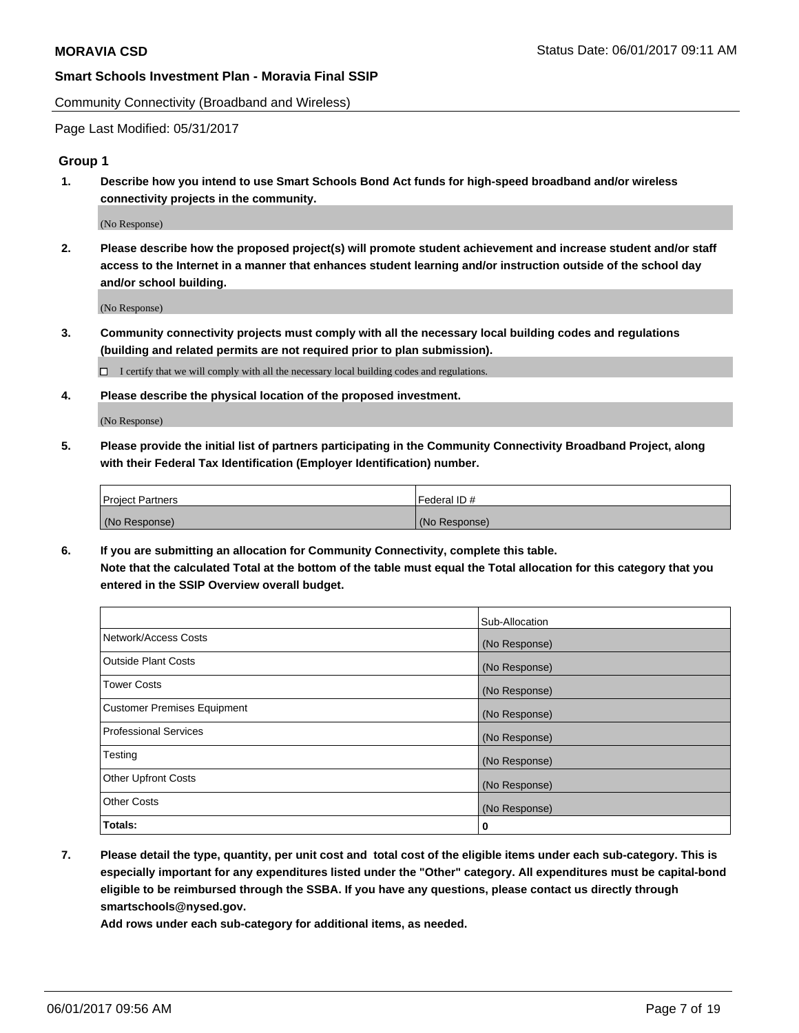Community Connectivity (Broadband and Wireless)

Page Last Modified: 05/31/2017

# **Group 1**

**1. Describe how you intend to use Smart Schools Bond Act funds for high-speed broadband and/or wireless connectivity projects in the community.**

(No Response)

**2. Please describe how the proposed project(s) will promote student achievement and increase student and/or staff access to the Internet in a manner that enhances student learning and/or instruction outside of the school day and/or school building.**

(No Response)

**3. Community connectivity projects must comply with all the necessary local building codes and regulations (building and related permits are not required prior to plan submission).**

 $\Box$  I certify that we will comply with all the necessary local building codes and regulations.

**4. Please describe the physical location of the proposed investment.**

(No Response)

**5. Please provide the initial list of partners participating in the Community Connectivity Broadband Project, along with their Federal Tax Identification (Employer Identification) number.**

| <b>Project Partners</b> | Federal ID#     |
|-------------------------|-----------------|
| (No Response)           | l (No Response) |

**6. If you are submitting an allocation for Community Connectivity, complete this table. Note that the calculated Total at the bottom of the table must equal the Total allocation for this category that you entered in the SSIP Overview overall budget.**

|                                    | Sub-Allocation |
|------------------------------------|----------------|
| Network/Access Costs               | (No Response)  |
| Outside Plant Costs                | (No Response)  |
| <b>Tower Costs</b>                 | (No Response)  |
| <b>Customer Premises Equipment</b> | (No Response)  |
| <b>Professional Services</b>       | (No Response)  |
| Testing                            | (No Response)  |
| <b>Other Upfront Costs</b>         | (No Response)  |
| <b>Other Costs</b>                 | (No Response)  |
| Totals:                            | 0              |

**7. Please detail the type, quantity, per unit cost and total cost of the eligible items under each sub-category. This is especially important for any expenditures listed under the "Other" category. All expenditures must be capital-bond eligible to be reimbursed through the SSBA. If you have any questions, please contact us directly through smartschools@nysed.gov.**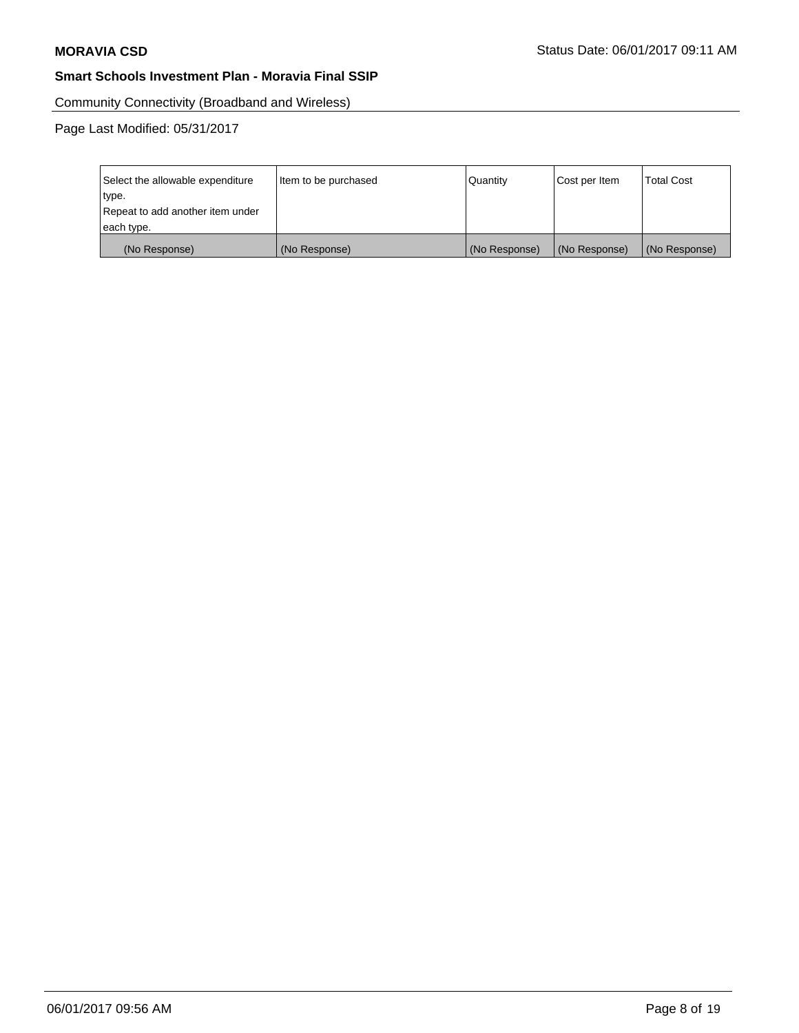Community Connectivity (Broadband and Wireless)

Page Last Modified: 05/31/2017

| Select the allowable expenditure | Item to be purchased | Quantity      | Cost per Item | <b>Total Cost</b> |
|----------------------------------|----------------------|---------------|---------------|-------------------|
| type.                            |                      |               |               |                   |
| Repeat to add another item under |                      |               |               |                   |
| each type.                       |                      |               |               |                   |
| (No Response)                    | (No Response)        | (No Response) | (No Response) | (No Response)     |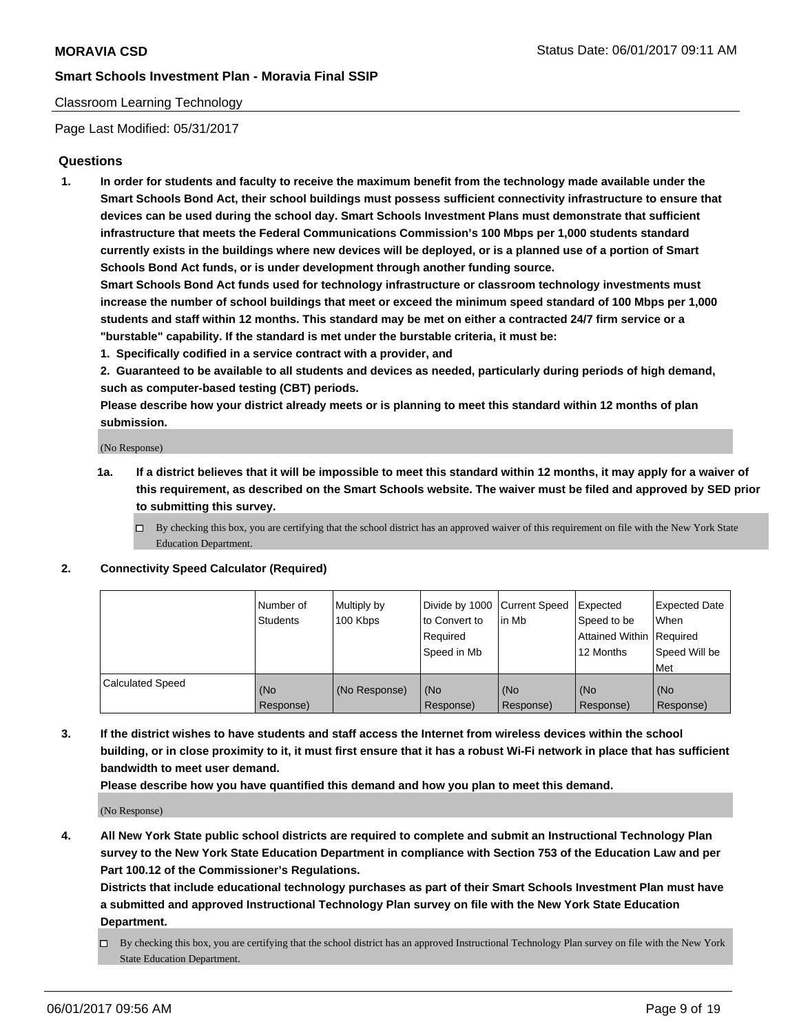### Classroom Learning Technology

Page Last Modified: 05/31/2017

# **Questions**

**1. In order for students and faculty to receive the maximum benefit from the technology made available under the Smart Schools Bond Act, their school buildings must possess sufficient connectivity infrastructure to ensure that devices can be used during the school day. Smart Schools Investment Plans must demonstrate that sufficient infrastructure that meets the Federal Communications Commission's 100 Mbps per 1,000 students standard currently exists in the buildings where new devices will be deployed, or is a planned use of a portion of Smart Schools Bond Act funds, or is under development through another funding source.**

**Smart Schools Bond Act funds used for technology infrastructure or classroom technology investments must increase the number of school buildings that meet or exceed the minimum speed standard of 100 Mbps per 1,000 students and staff within 12 months. This standard may be met on either a contracted 24/7 firm service or a "burstable" capability. If the standard is met under the burstable criteria, it must be:**

- **1. Specifically codified in a service contract with a provider, and**
- **2. Guaranteed to be available to all students and devices as needed, particularly during periods of high demand, such as computer-based testing (CBT) periods.**

**Please describe how your district already meets or is planning to meet this standard within 12 months of plan submission.**

(No Response)

- **1a. If a district believes that it will be impossible to meet this standard within 12 months, it may apply for a waiver of this requirement, as described on the Smart Schools website. The waiver must be filed and approved by SED prior to submitting this survey.**
	- $\Box$  By checking this box, you are certifying that the school district has an approved waiver of this requirement on file with the New York State Education Department.

### **2. Connectivity Speed Calculator (Required)**

|                         | l Number of<br>Students | Multiply by<br>100 Kbps | Divide by 1000   Current Speed<br>to Convert to<br>Required<br>Speed in Mb | l in Mb          | Expected<br>Speed to be<br>Attained Within Required<br>12 Months | <b>Expected Date</b><br>When<br>Speed Will be<br>Met |
|-------------------------|-------------------------|-------------------------|----------------------------------------------------------------------------|------------------|------------------------------------------------------------------|------------------------------------------------------|
| <b>Calculated Speed</b> | (No<br>Response)        | (No Response)           | (No<br>Response)                                                           | (No<br>Response) | (No<br>Response)                                                 | (No<br>Response)                                     |

**3. If the district wishes to have students and staff access the Internet from wireless devices within the school building, or in close proximity to it, it must first ensure that it has a robust Wi-Fi network in place that has sufficient bandwidth to meet user demand.**

**Please describe how you have quantified this demand and how you plan to meet this demand.**

(No Response)

**4. All New York State public school districts are required to complete and submit an Instructional Technology Plan survey to the New York State Education Department in compliance with Section 753 of the Education Law and per Part 100.12 of the Commissioner's Regulations.**

**Districts that include educational technology purchases as part of their Smart Schools Investment Plan must have a submitted and approved Instructional Technology Plan survey on file with the New York State Education Department.**

 $\Box$  By checking this box, you are certifying that the school district has an approved Instructional Technology Plan survey on file with the New York State Education Department.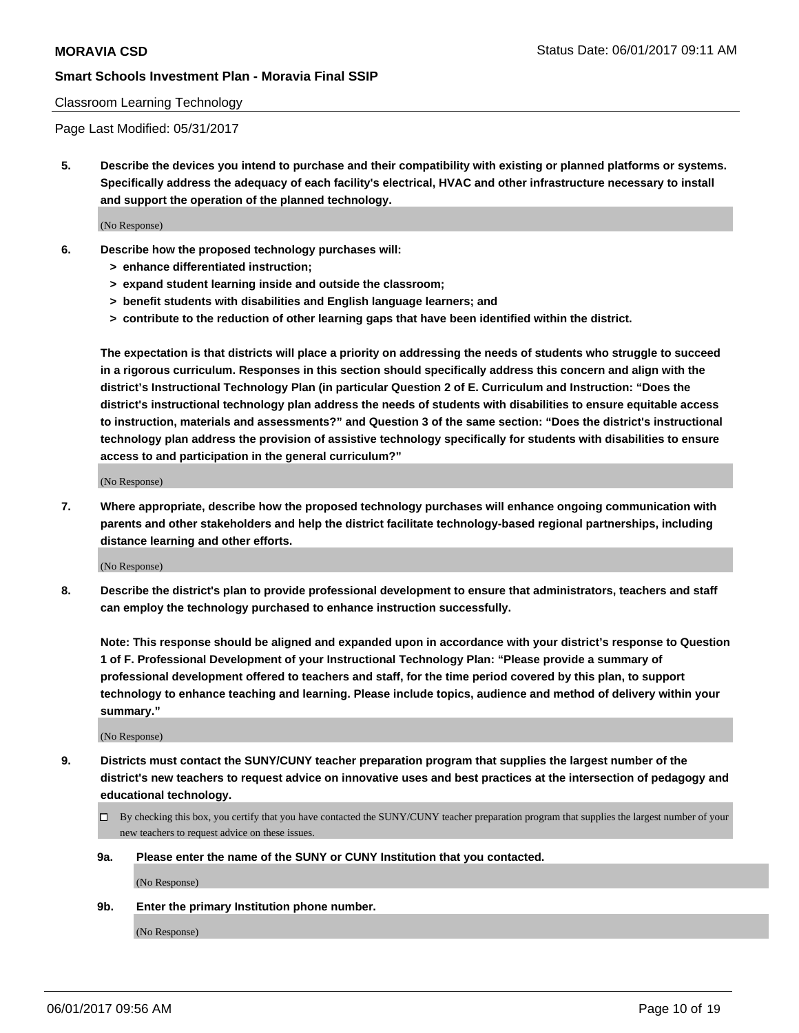#### Classroom Learning Technology

Page Last Modified: 05/31/2017

**5. Describe the devices you intend to purchase and their compatibility with existing or planned platforms or systems. Specifically address the adequacy of each facility's electrical, HVAC and other infrastructure necessary to install and support the operation of the planned technology.**

(No Response)

- **6. Describe how the proposed technology purchases will:**
	- **> enhance differentiated instruction;**
	- **> expand student learning inside and outside the classroom;**
	- **> benefit students with disabilities and English language learners; and**
	- **> contribute to the reduction of other learning gaps that have been identified within the district.**

**The expectation is that districts will place a priority on addressing the needs of students who struggle to succeed in a rigorous curriculum. Responses in this section should specifically address this concern and align with the district's Instructional Technology Plan (in particular Question 2 of E. Curriculum and Instruction: "Does the district's instructional technology plan address the needs of students with disabilities to ensure equitable access to instruction, materials and assessments?" and Question 3 of the same section: "Does the district's instructional technology plan address the provision of assistive technology specifically for students with disabilities to ensure access to and participation in the general curriculum?"**

(No Response)

**7. Where appropriate, describe how the proposed technology purchases will enhance ongoing communication with parents and other stakeholders and help the district facilitate technology-based regional partnerships, including distance learning and other efforts.**

(No Response)

**8. Describe the district's plan to provide professional development to ensure that administrators, teachers and staff can employ the technology purchased to enhance instruction successfully.**

**Note: This response should be aligned and expanded upon in accordance with your district's response to Question 1 of F. Professional Development of your Instructional Technology Plan: "Please provide a summary of professional development offered to teachers and staff, for the time period covered by this plan, to support technology to enhance teaching and learning. Please include topics, audience and method of delivery within your summary."**

(No Response)

- **9. Districts must contact the SUNY/CUNY teacher preparation program that supplies the largest number of the district's new teachers to request advice on innovative uses and best practices at the intersection of pedagogy and educational technology.**
	- By checking this box, you certify that you have contacted the SUNY/CUNY teacher preparation program that supplies the largest number of your new teachers to request advice on these issues.
	- **9a. Please enter the name of the SUNY or CUNY Institution that you contacted.**

(No Response)

**9b. Enter the primary Institution phone number.**

(No Response)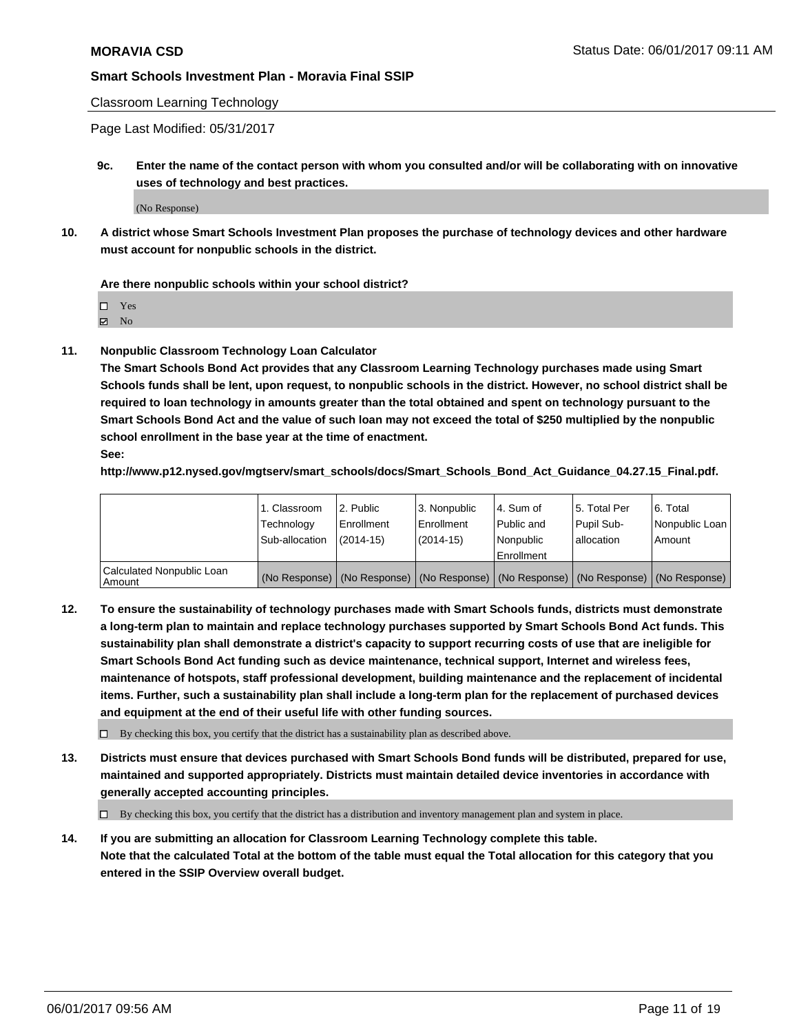Classroom Learning Technology

Page Last Modified: 05/31/2017

**9c. Enter the name of the contact person with whom you consulted and/or will be collaborating with on innovative uses of technology and best practices.**

(No Response)

**10. A district whose Smart Schools Investment Plan proposes the purchase of technology devices and other hardware must account for nonpublic schools in the district.**

**Are there nonpublic schools within your school district?**

Yes

 $\boxtimes$  No

**11. Nonpublic Classroom Technology Loan Calculator**

**The Smart Schools Bond Act provides that any Classroom Learning Technology purchases made using Smart Schools funds shall be lent, upon request, to nonpublic schools in the district. However, no school district shall be required to loan technology in amounts greater than the total obtained and spent on technology pursuant to the Smart Schools Bond Act and the value of such loan may not exceed the total of \$250 multiplied by the nonpublic school enrollment in the base year at the time of enactment.**

**See:**

**http://www.p12.nysed.gov/mgtserv/smart\_schools/docs/Smart\_Schools\_Bond\_Act\_Guidance\_04.27.15\_Final.pdf.**

|                                       | 1. Classroom   | 2. Public     | 3. Nonpublic | 14. Sum of  | 15. Total Per | l 6. Total                                                                                    |
|---------------------------------------|----------------|---------------|--------------|-------------|---------------|-----------------------------------------------------------------------------------------------|
|                                       | Technology     | Enrollment    | Enrollment   | Public and  | Pupil Sub-    | Nonpublic Loan                                                                                |
|                                       | Sub-allocation | $(2014 - 15)$ | (2014-15)    | l Nonpublic | allocation    | Amount                                                                                        |
|                                       |                |               |              | Enrollment  |               |                                                                                               |
| Calculated Nonpublic Loan<br>  Amount |                |               |              |             |               | (No Response)   (No Response)   (No Response)   (No Response)   (No Response)   (No Response) |

**12. To ensure the sustainability of technology purchases made with Smart Schools funds, districts must demonstrate a long-term plan to maintain and replace technology purchases supported by Smart Schools Bond Act funds. This sustainability plan shall demonstrate a district's capacity to support recurring costs of use that are ineligible for Smart Schools Bond Act funding such as device maintenance, technical support, Internet and wireless fees, maintenance of hotspots, staff professional development, building maintenance and the replacement of incidental items. Further, such a sustainability plan shall include a long-term plan for the replacement of purchased devices and equipment at the end of their useful life with other funding sources.**

 $\Box$  By checking this box, you certify that the district has a sustainability plan as described above.

**13. Districts must ensure that devices purchased with Smart Schools Bond funds will be distributed, prepared for use, maintained and supported appropriately. Districts must maintain detailed device inventories in accordance with generally accepted accounting principles.**

By checking this box, you certify that the district has a distribution and inventory management plan and system in place.

**14. If you are submitting an allocation for Classroom Learning Technology complete this table. Note that the calculated Total at the bottom of the table must equal the Total allocation for this category that you entered in the SSIP Overview overall budget.**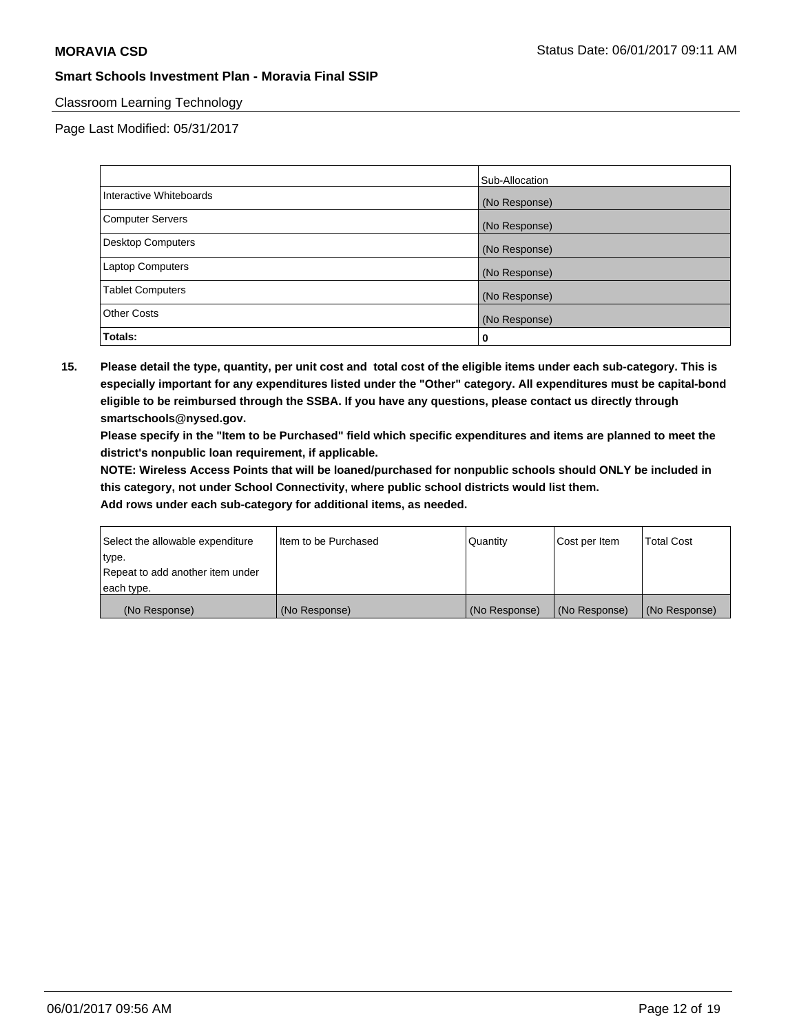### Classroom Learning Technology

Page Last Modified: 05/31/2017

|                          | Sub-Allocation |
|--------------------------|----------------|
| Interactive Whiteboards  | (No Response)  |
| Computer Servers         | (No Response)  |
| <b>Desktop Computers</b> | (No Response)  |
| <b>Laptop Computers</b>  | (No Response)  |
| <b>Tablet Computers</b>  | (No Response)  |
| <b>Other Costs</b>       | (No Response)  |
| Totals:                  | 0              |

**15. Please detail the type, quantity, per unit cost and total cost of the eligible items under each sub-category. This is especially important for any expenditures listed under the "Other" category. All expenditures must be capital-bond eligible to be reimbursed through the SSBA. If you have any questions, please contact us directly through smartschools@nysed.gov.**

**Please specify in the "Item to be Purchased" field which specific expenditures and items are planned to meet the district's nonpublic loan requirement, if applicable.**

**NOTE: Wireless Access Points that will be loaned/purchased for nonpublic schools should ONLY be included in this category, not under School Connectivity, where public school districts would list them.**

| Select the allowable expenditure | Iltem to be Purchased | Quantity      | Cost per Item | <b>Total Cost</b> |
|----------------------------------|-----------------------|---------------|---------------|-------------------|
| type.                            |                       |               |               |                   |
| Repeat to add another item under |                       |               |               |                   |
| each type.                       |                       |               |               |                   |
| (No Response)                    | (No Response)         | (No Response) | (No Response) | (No Response)     |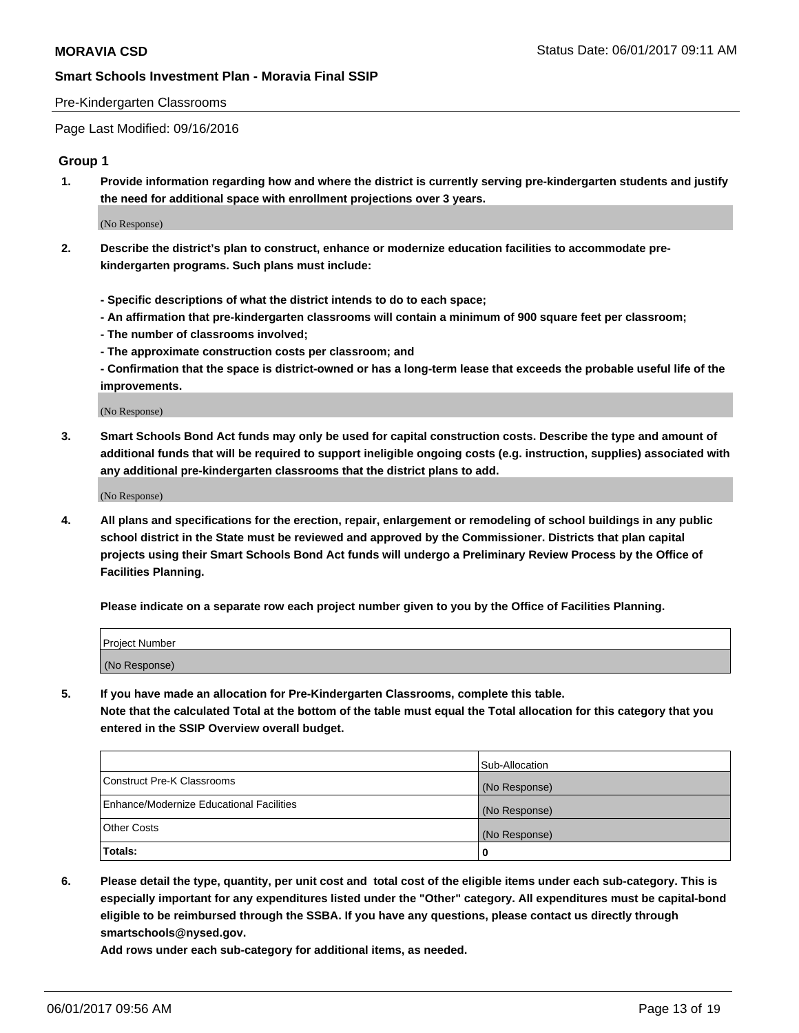#### Pre-Kindergarten Classrooms

Page Last Modified: 09/16/2016

# **Group 1**

**1. Provide information regarding how and where the district is currently serving pre-kindergarten students and justify the need for additional space with enrollment projections over 3 years.**

(No Response)

- **2. Describe the district's plan to construct, enhance or modernize education facilities to accommodate prekindergarten programs. Such plans must include:**
	- **Specific descriptions of what the district intends to do to each space;**
	- **An affirmation that pre-kindergarten classrooms will contain a minimum of 900 square feet per classroom;**
	- **The number of classrooms involved;**
	- **The approximate construction costs per classroom; and**
	- **Confirmation that the space is district-owned or has a long-term lease that exceeds the probable useful life of the improvements.**

(No Response)

**3. Smart Schools Bond Act funds may only be used for capital construction costs. Describe the type and amount of additional funds that will be required to support ineligible ongoing costs (e.g. instruction, supplies) associated with any additional pre-kindergarten classrooms that the district plans to add.**

(No Response)

**4. All plans and specifications for the erection, repair, enlargement or remodeling of school buildings in any public school district in the State must be reviewed and approved by the Commissioner. Districts that plan capital projects using their Smart Schools Bond Act funds will undergo a Preliminary Review Process by the Office of Facilities Planning.**

**Please indicate on a separate row each project number given to you by the Office of Facilities Planning.**

| Project Number |  |
|----------------|--|
| (No Response)  |  |

**5. If you have made an allocation for Pre-Kindergarten Classrooms, complete this table. Note that the calculated Total at the bottom of the table must equal the Total allocation for this category that you entered in the SSIP Overview overall budget.**

| Totals:                                  | 0              |
|------------------------------------------|----------------|
| Other Costs                              | (No Response)  |
| Enhance/Modernize Educational Facilities | (No Response)  |
| Construct Pre-K Classrooms               | (No Response)  |
|                                          | Sub-Allocation |

**6. Please detail the type, quantity, per unit cost and total cost of the eligible items under each sub-category. This is especially important for any expenditures listed under the "Other" category. All expenditures must be capital-bond eligible to be reimbursed through the SSBA. If you have any questions, please contact us directly through smartschools@nysed.gov.**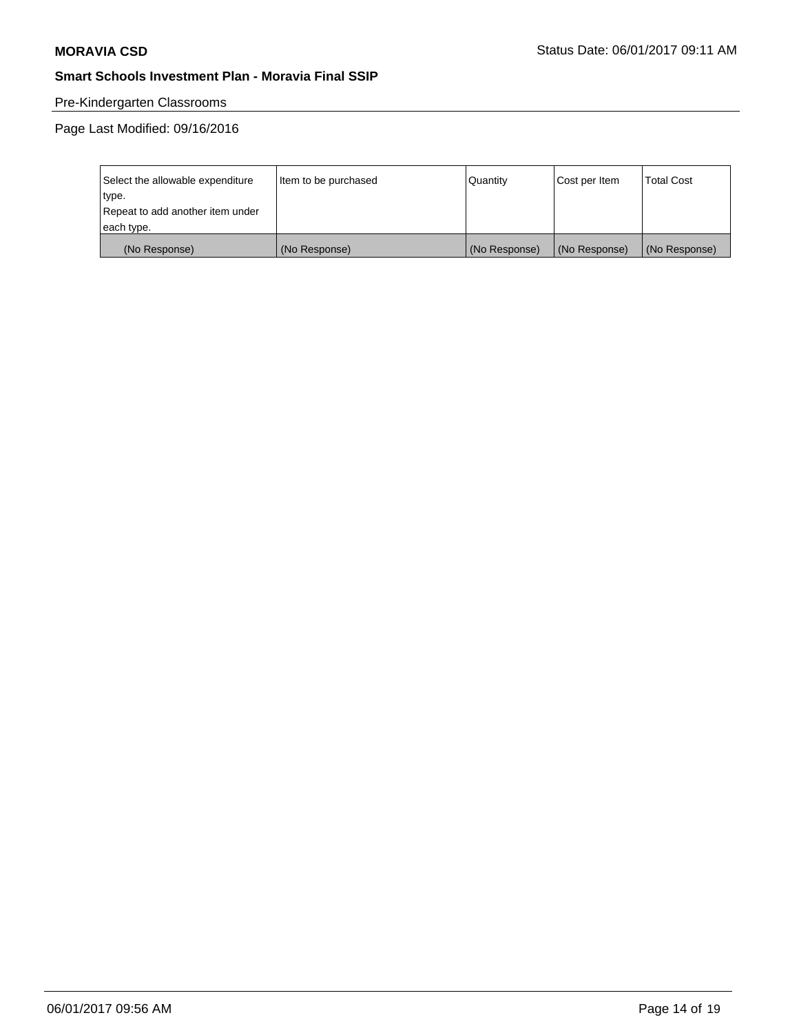# Pre-Kindergarten Classrooms

Page Last Modified: 09/16/2016

| Select the allowable expenditure | Item to be purchased | Quantity      | Cost per Item | <b>Total Cost</b> |
|----------------------------------|----------------------|---------------|---------------|-------------------|
| type.                            |                      |               |               |                   |
| Repeat to add another item under |                      |               |               |                   |
| each type.                       |                      |               |               |                   |
| (No Response)                    | (No Response)        | (No Response) | (No Response) | (No Response)     |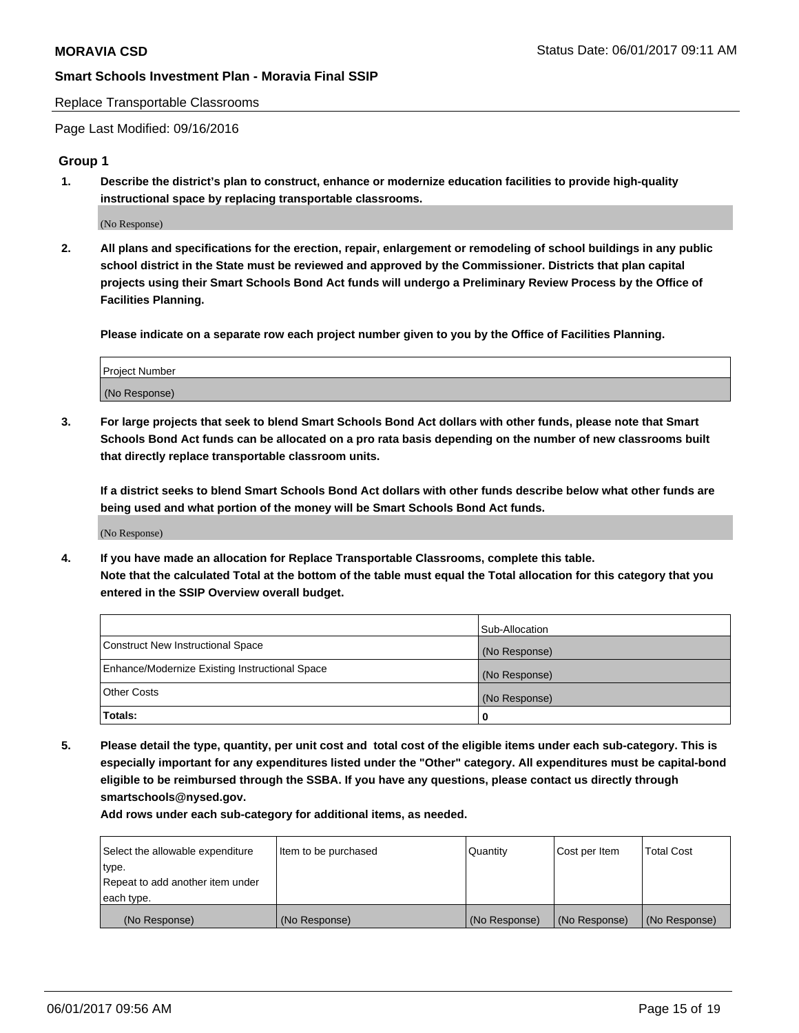#### Replace Transportable Classrooms

Page Last Modified: 09/16/2016

# **Group 1**

**1. Describe the district's plan to construct, enhance or modernize education facilities to provide high-quality instructional space by replacing transportable classrooms.**

(No Response)

**2. All plans and specifications for the erection, repair, enlargement or remodeling of school buildings in any public school district in the State must be reviewed and approved by the Commissioner. Districts that plan capital projects using their Smart Schools Bond Act funds will undergo a Preliminary Review Process by the Office of Facilities Planning.**

**Please indicate on a separate row each project number given to you by the Office of Facilities Planning.**

| Project Number |  |
|----------------|--|
| (No Response)  |  |

**3. For large projects that seek to blend Smart Schools Bond Act dollars with other funds, please note that Smart Schools Bond Act funds can be allocated on a pro rata basis depending on the number of new classrooms built that directly replace transportable classroom units.**

**If a district seeks to blend Smart Schools Bond Act dollars with other funds describe below what other funds are being used and what portion of the money will be Smart Schools Bond Act funds.**

(No Response)

**4. If you have made an allocation for Replace Transportable Classrooms, complete this table. Note that the calculated Total at the bottom of the table must equal the Total allocation for this category that you entered in the SSIP Overview overall budget.**

|                                                | Sub-Allocation |
|------------------------------------------------|----------------|
| Construct New Instructional Space              | (No Response)  |
| Enhance/Modernize Existing Instructional Space | (No Response)  |
| Other Costs                                    | (No Response)  |
| Totals:                                        | $\Omega$       |

**5. Please detail the type, quantity, per unit cost and total cost of the eligible items under each sub-category. This is especially important for any expenditures listed under the "Other" category. All expenditures must be capital-bond eligible to be reimbursed through the SSBA. If you have any questions, please contact us directly through smartschools@nysed.gov.**

| Select the allowable expenditure | Item to be purchased | Quantity      | Cost per Item | <b>Total Cost</b> |
|----------------------------------|----------------------|---------------|---------------|-------------------|
| type.                            |                      |               |               |                   |
| Repeat to add another item under |                      |               |               |                   |
| each type.                       |                      |               |               |                   |
| (No Response)                    | (No Response)        | (No Response) | (No Response) | (No Response)     |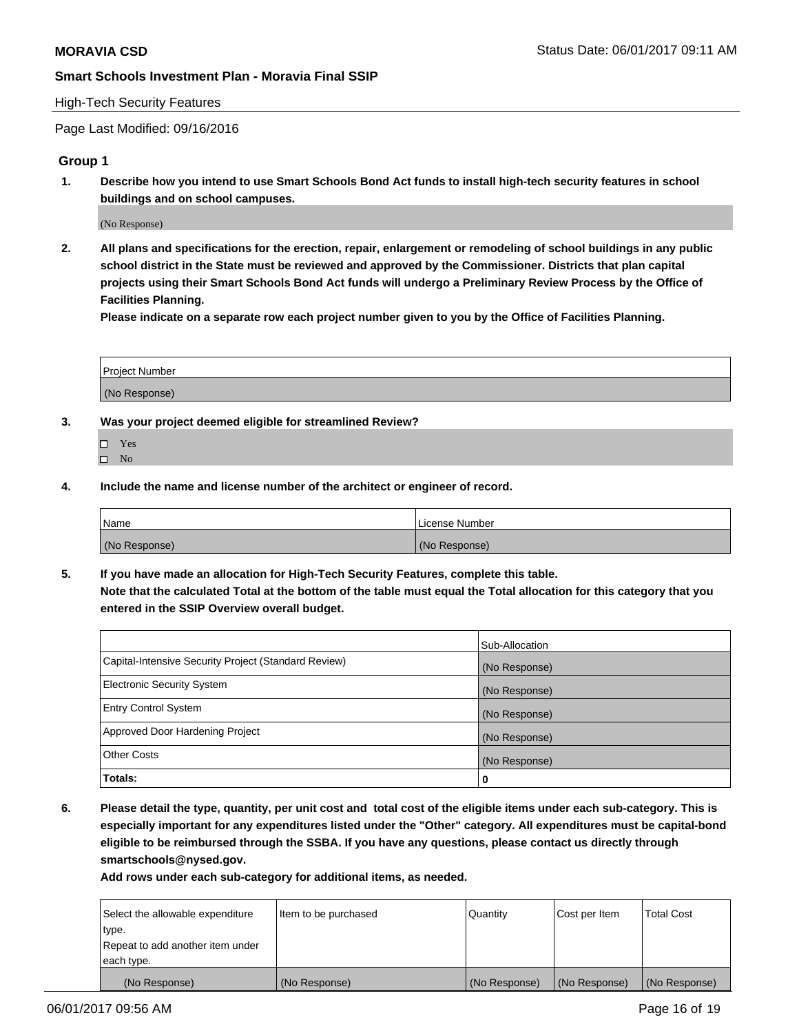#### High-Tech Security Features

Page Last Modified: 09/16/2016

# **Group 1**

**1. Describe how you intend to use Smart Schools Bond Act funds to install high-tech security features in school buildings and on school campuses.**

(No Response)

**2. All plans and specifications for the erection, repair, enlargement or remodeling of school buildings in any public school district in the State must be reviewed and approved by the Commissioner. Districts that plan capital projects using their Smart Schools Bond Act funds will undergo a Preliminary Review Process by the Office of Facilities Planning.** 

**Please indicate on a separate row each project number given to you by the Office of Facilities Planning.**

| Project Number |  |
|----------------|--|
|                |  |
|                |  |
|                |  |
| (No Response)  |  |
|                |  |

- **3. Was your project deemed eligible for streamlined Review?**
	- Yes  $\hfill \square$  No
- **4. Include the name and license number of the architect or engineer of record.**

| <b>Name</b>   | License Number |
|---------------|----------------|
| (No Response) | (No Response)  |

**5. If you have made an allocation for High-Tech Security Features, complete this table. Note that the calculated Total at the bottom of the table must equal the Total allocation for this category that you entered in the SSIP Overview overall budget.**

|                                                      | Sub-Allocation |
|------------------------------------------------------|----------------|
| Capital-Intensive Security Project (Standard Review) | (No Response)  |
| Electronic Security System                           | (No Response)  |
| <b>Entry Control System</b>                          | (No Response)  |
| Approved Door Hardening Project                      | (No Response)  |
| <b>Other Costs</b>                                   | (No Response)  |
| Totals:                                              | 0              |

**6. Please detail the type, quantity, per unit cost and total cost of the eligible items under each sub-category. This is especially important for any expenditures listed under the "Other" category. All expenditures must be capital-bond eligible to be reimbursed through the SSBA. If you have any questions, please contact us directly through smartschools@nysed.gov.**

| (No Response)                    | (No Response)        | (No Response) | (No Response) | (No Response)     |
|----------------------------------|----------------------|---------------|---------------|-------------------|
| each type.                       |                      |               |               |                   |
| Repeat to add another item under |                      |               |               |                   |
| type.                            |                      |               |               |                   |
| Select the allowable expenditure | Item to be purchased | Quantity      | Cost per Item | <b>Total Cost</b> |
|                                  |                      |               |               |                   |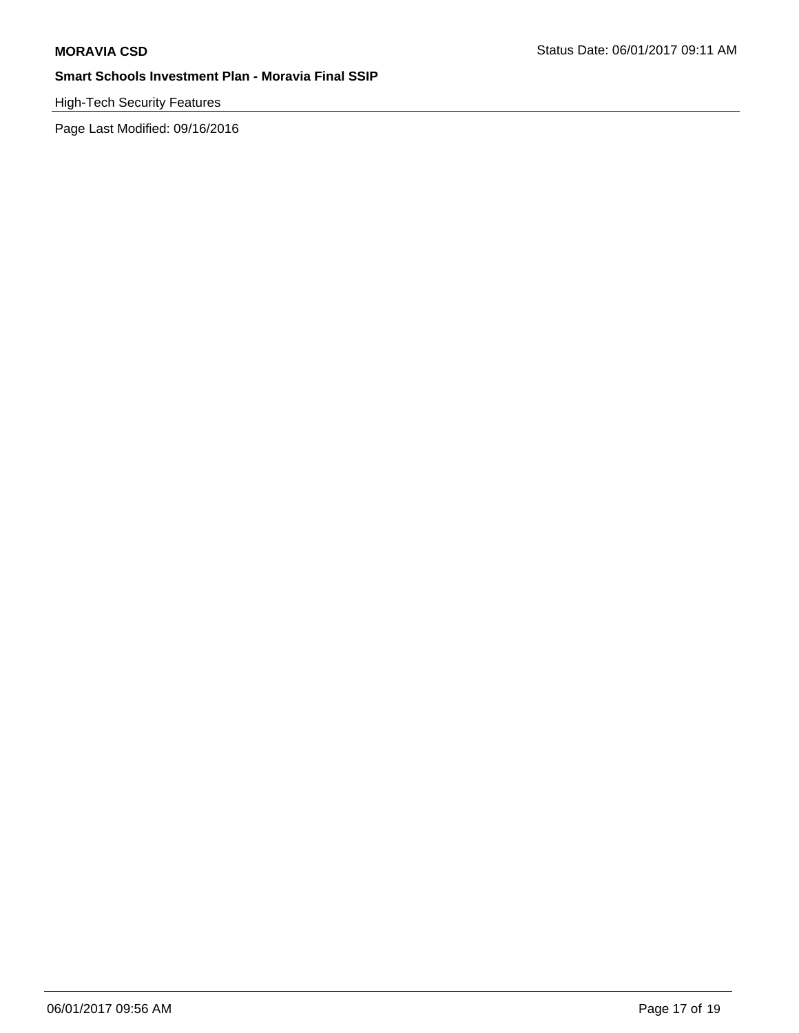# High-Tech Security Features

Page Last Modified: 09/16/2016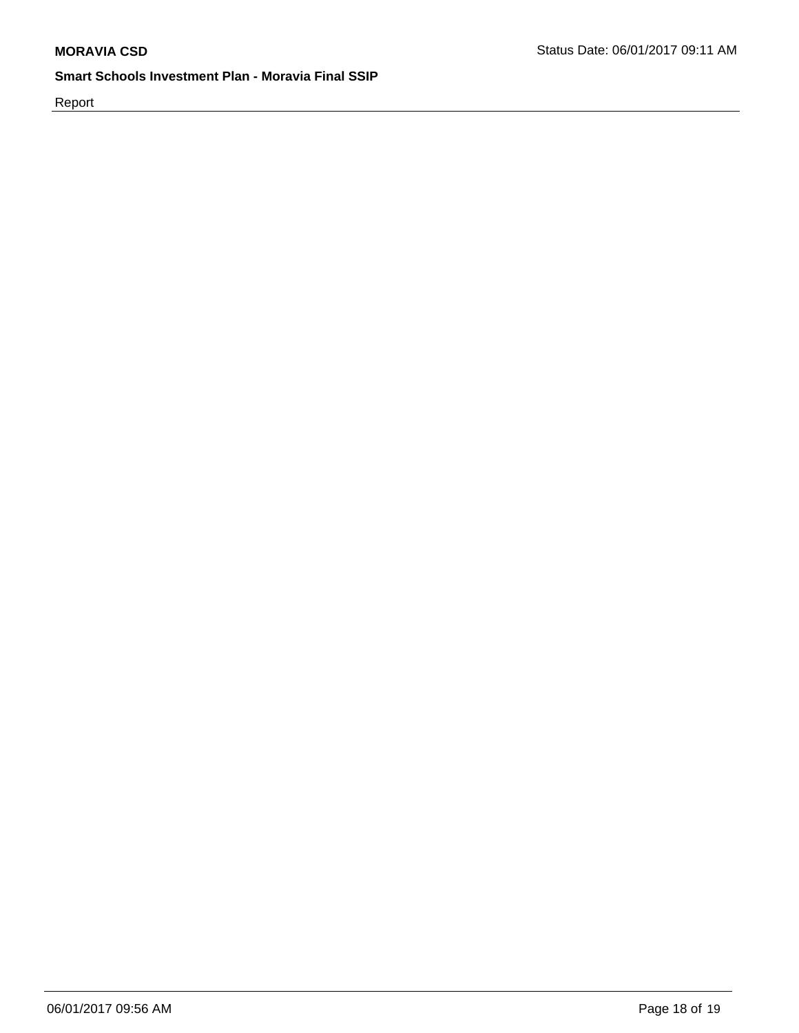Report